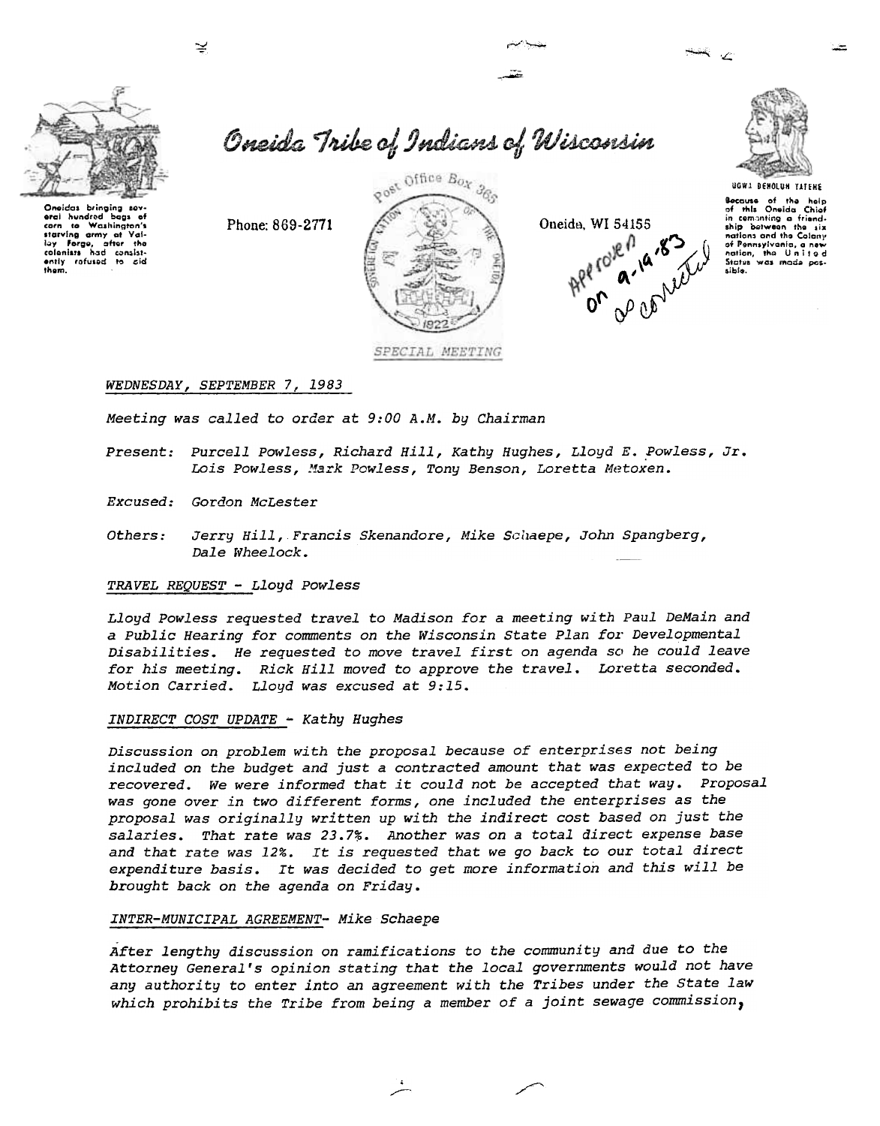

Oneidas bringing sov eral hundred bags of<br>corn to Washington's corn to washington's<br>starting army at Val-<br>lay Forge, after the<br>colonists had consist-<br>ently rafused to cid<br>them. Oneida Tribe of Indians of Wisconsin



Oneida, WI 54155



**Because** of the help<br>of this Oneida Chief or mis Uneida Unior<br>ship between the six<br>nations and the Galaxy<br>of Pennsylvania, a new nation, the United Status was made pos-<br>Status was made pos-

# WEDNESDAY, SEPTEMBER 7, 1983

Phone: 869-2771

Meeting was called to order at 9:00 A.M. by Chairman

- Present: Purcell Powless, Richard Hill, Kathy Hughes, Lloyd E. Powless, Jr. Lois Powless, Mark Powless, Tony Benson, Loretta Metoxen.
- Excused: Gordon McLester
- Jerry Hill, Francis Skenandore, Mike Schaepe, John Spangberg, Others: Dale Wheelock.

## TRAVEL REQUEST - Lloyd Powless

Lloyd Powless requested travel to Madison for a meeting with Paul DeMain and a Public Hearing for comments on the Wisconsin State Plan for Developmental Disabilities. He requested to move travel first on agenda so he could leave for his meeting. Rick Hill moved to approve the travel. Loretta seconded. Motion Carried. Lloyd was excused at 9:15.

### INDIRECT COST UPDATE - Kathy Hughes

Discussion on problem with the proposal because of enterprises not being included on the budget and just a contracted amount that was expected to be recovered. We were informed that it could not be accepted that way. Proposal was gone over in two different forms, one included the enterprises as the proposal was originally written up with the indirect cost based on just the salaries. That rate was 23.7%. Another was on a total direct expense base and that rate was 12%. It is requested that we go back to our total direct expenditure basis. It was decided to get more information and this will be brought back on the agenda on Friday.

### INTER-MUNICIPAL AGREEMENT- Mike Schaepe

After lengthy discussion on ramifications to the community and due to the Attorney General's opinion stating that the local governments would not have any authority to enter into an agreement with the Tribes under the State law which prohibits the Tribe from being a member of a joint sewage commission,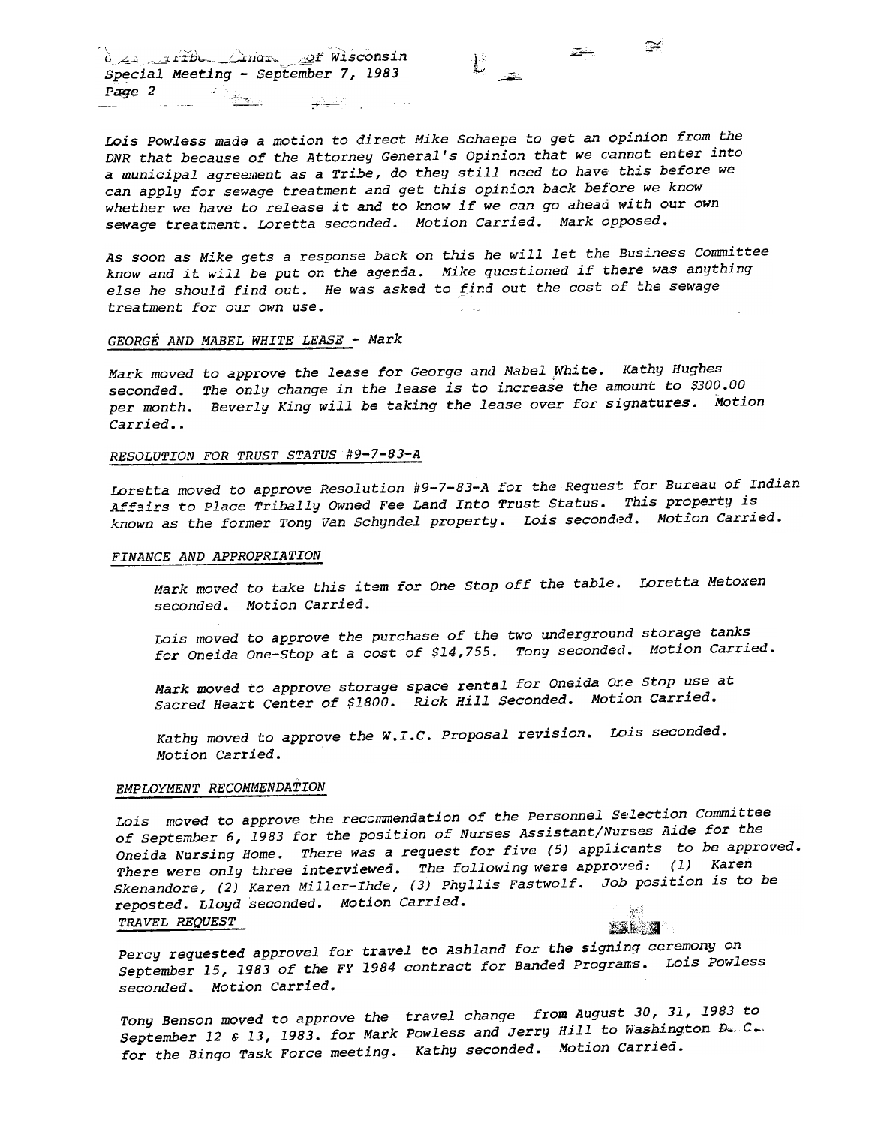$\alpha_{\geq 1}$  , rith  $\triangle_{\text{max}}$  of Wisconsin Special Meeting - September 7, 1983  $P$ age  $2$ -b-- ::"'~

Lois Powless made a motion to direct Mike Schaepe to get an opinion from the DNR that because of the Attorney General's Opinion that we cannot enter into a municipal agreement as a Tribe, do they still need to have' this before we can apply for sewage treatment and get this opinion back before we know whether we have to release it and to know if we can go ahead with our own sewage treatment. Loretta seconded. Motion Carried. Mark opposed.

 $\cong$ 

-'- ,

 $\mathbb{C}$  -  $\mathbb{Z}$ 

As soon as Mike gets a response back on this he will let the Business Committee know and it will be put on the agenda. Mike questioned if there was anything else he should find out. He was asked to find out the cost of the sewage treatment for our own use.

# GEORGE AND MABEL WHITE LEASE - Mark

Mark moved to approve the lease for George and Mabel White. Kathy Hughes seconded. The only change in the lease is to increase the amount to \$300.00 per month. Beverly King will be taking the lease over for signatures. Motion Carried..

#### RESOLUTION FOR TRUST STATUS #9-7-83-A

Loretta moved to approve Resolution  $#9-7-83-A$  for the Request for Bureau of Indian Affairs to Place Tribally OWned Fee Land Into Trust Status. This property is known as the former Tony Van Schyndel property. Lois seconded. Motion Carried.

## FINANCE AND APPROPRIATION

Mark moved to take this item for One Stop off the table. Loretta Metoxen seconded. Motion Carried.

Lois moved to approve the purchase of the two underground storage tanks for Oneida One-stop at a cost of \$14,755. Tony secondecl. Motion Carried.

Mark moved to approve storage space rental for Oneida Ore Stop use at Sacred Heart Center of \$1800. Rick Hill Seconded. Motion carried.

Kathy moved to approve the W.I.C. Proposal revision. Lois seconded. Motion Carried.

#### EMPLOYMENT RECOMMENDATION

Lois moved to approve the recommendation of the Personnel Selection Committee of September 6, 1983 for the position of Nurses Assistant/Nurses Aide for the Oneida Nursing Home. There was a request for five (5) applicants to be approved. There were only three interviewed. The following were approved: (1) Karen Skenandore, (2) Karen Mi11er-Ihde, (3) Phyllis Fastwo1f. Job position is to be reposted. Lloyd seconded. Motion Carried. Dneida Nursing Home. There was a request for five (5) applicants<br>There were only three interviewed. The following were approved:<br>Skenandore, (2) Karen Miller-Ihde, (3) Phyllis Fastwolf. Job pos<br>reposted. Lloyd seconded. Mo  $K$  .  $\mathbf{A}$ 

Percy requested approvel for travel to Ashland for the signing ceremony on September 15,1983 of the FY 1984 contract for Banded prograns. Lois powless seconded. Motion Carried.

Tony Benson moved to approve the travel change from August 30,31,1983 to September 12 & 13, 1983. for Mark Powless and Jerry Hill to Washington  $D_{\bullet}$  C. for the Bingo Task Force meeting. Kathy seconded. Motion Carried.